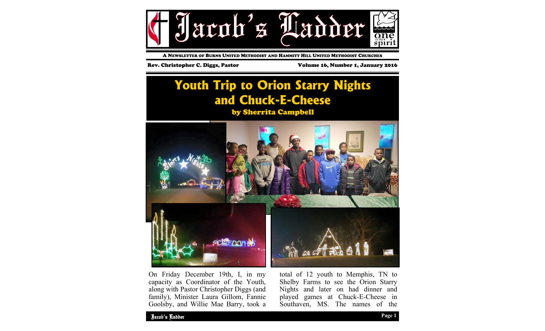

A NEWSLETTER OF BURNS UNITED METHODIST AND HAMMITT HILL UNITED METHODIST CHURCHES

Rev. Christopher C. Diggs, Pastor Volume 16, Number 1, January 2016

# **Youth Trip to Orion Starry Nights and Chuck-E-Cheese**

by Sherrita Campbell



On Friday December 19th, I, in my capacity as Coordinator of the Youth, along with Pastor Christopher Diggs (and family), Minister Laura Gillom, Fannie Goolsby, and Willie Mae Barry, took a total of 12 youth to Memphis, TN to Shelby Farms to see the Orion Starry Nights and later on had dinner and played games at Chuck-E-Cheese in Southaven, MS. The names of the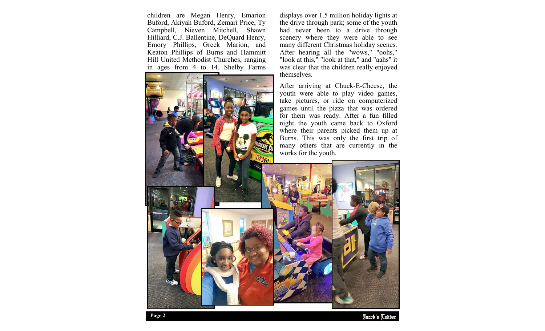children are Megan Henry, Emarion Buford, Akiyah Buford, Zemari Price, Ty Campbell, Nieven Mitchell, Shawn Hilliard, C.J. Ballentine, DeQuard Henry, Emory Phillips, Greek Marion, and Keaton Phillips of Burns and Hammitt Hill United Methodist Churches, ranging in ages from 4 to 14. Shelby Farms

displays over 1.5 million holiday lights at the drive through park; some of the youth had never been to a drive through scenery where they were able to see many different Christmas holiday scenes. After hearing all the "wows," "oohs," "look at this," "look at that," and "aahs" it was clear that the children really enjoyed themselves.

After arriving at Chuck-E-Cheese, the youth were able to play video games, take pictures, or ride on computerized games until the pizza that was ordered for them was ready. After a fun filled night the youth came back to Oxford where their parents picked them up at Burns. This was only the first trip of many others that are currently in the works for the youth.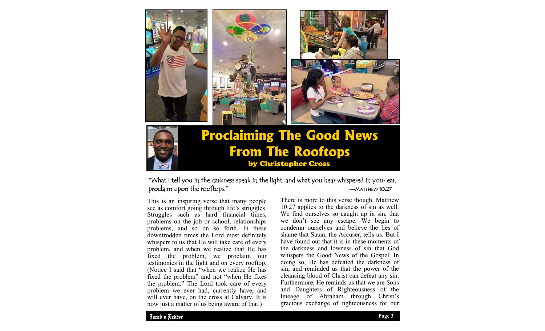



## **Proclaiming The Good News From The Rooftops** by Christopher Cross

### "What I tell you in the darkness speak in the light; and what you hear whispered in your ear, proclaim upon the rooftops."

This is an inspiring verse that many people see as comfort going through life's struggles. Struggles such as hard financial times, problems on the job or school, relationships problems, and so on so forth. In these downtrodden times the Lord most definitely whispers to us that He will take care of every problem, and when we realize that He has fixed the problem, we proclaim our testimonies in the light and on every rooftop. (Notice I said that "when we realize He has fixed the problem" and not "when He fixes the problem." The Lord took care of every problem we ever had, currently have, and will ever have, on the cross at Calvary. It is now just a matter of us being aware of that.)

There is more to this verse though. Matthew 10:27 applies to the darkness of sin as well. We find ourselves so caught up in sin, that we don't see any escape. We begin to condemn ourselves and believe the lies of shame that Satan, the Accuser, tells us. But I have found out that it is in these moments of the darkness and lowness of sin that God whispers the Good News of the Gospel. In doing so, He has defeated the darkness of sin, and reminded us that the power of the cleansing blood of Christ can defeat any sin. Furthermore, He reminds us that we are Sons and Daughters of Righteousness of the lineage of Abraham through Christ's gracious exchange of righteousness for our